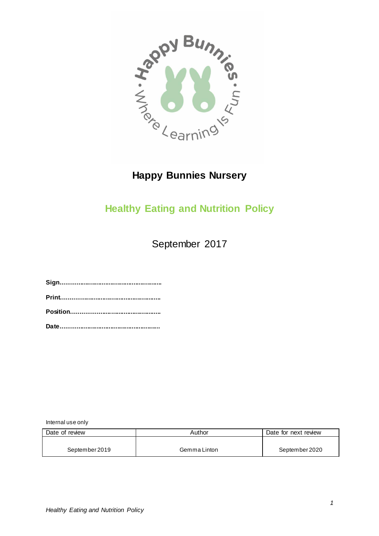

## **Happy Bunnies Nursery**

## **Healthy Eating and Nutrition Policy**

September 2017

**Sign......................................................... Print........................................................ Position.................................................. Date........................................................**

Internal use only

| Date of review | Author       | Date for next review |
|----------------|--------------|----------------------|
|                |              |                      |
| September 2019 | Gemma Linton | September 2020       |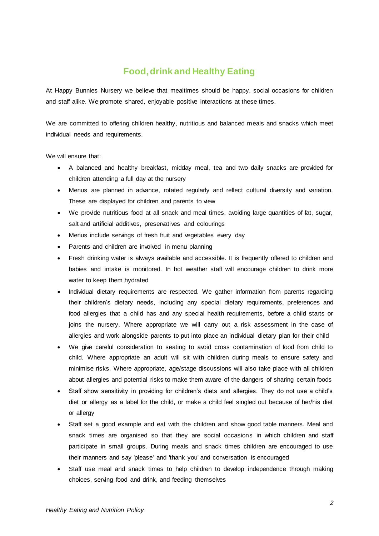## **Food, drink and Healthy Eating**

At Happy Bunnies Nursery we believe that mealtimes should be happy, social occasions for children and staff alike. We promote shared, enjoyable positive interactions at these times.

We are committed to offering children healthy, nutritious and balanced meals and snacks which meet individual needs and requirements.

We will ensure that:

- A balanced and healthy breakfast, midday meal, tea and two daily snacks are provided for children attending a full day at the nursery
- Menus are planned in advance, rotated regularly and reflect cultural diversity and variation. These are displayed for children and parents to view
- We provide nutritious food at all snack and meal times, avoiding large quantities of fat, sugar, salt and artificial additives, preservatives and colourings
- Menus include servings of fresh fruit and vegetables every day
- Parents and children are involved in menu planning
- Fresh drinking water is always available and accessible. It is frequently offered to children and babies and intake is monitored. In hot weather staff will encourage children to drink more water to keep them hydrated
- Individual dietary requirements are respected. We gather information from parents regarding their children's dietary needs, including any special dietary requirements, preferences and food allergies that a child has and any special health requirements, before a child starts or joins the nursery. Where appropriate we will carry out a risk assessment in the case of allergies and work alongside parents to put into place an individual dietary plan for their child
- We give careful consideration to seating to avoid cross contamination of food from child to child. Where appropriate an adult will sit with children during meals to ensure safety and minimise risks. Where appropriate, age/stage discussions will also take place with all children about allergies and potential risks to make them aware of the dangers of sharing certain foods
- Staff show sensitivity in providing for children's diets and allergies. They do not use a child's diet or allergy as a label for the child, or make a child feel singled out because of her/his diet or allergy
- Staff set a good example and eat with the children and show good table manners. Meal and snack times are organised so that they are social occasions in which children and staff participate in small groups. During meals and snack times children are encouraged to use their manners and say 'please' and 'thank you' and conversation is encouraged
- Staff use meal and snack times to help children to develop independence through making choices, serving food and drink, and feeding themselves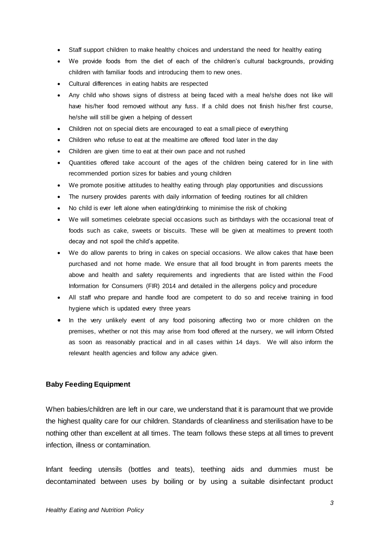- Staff support children to make healthy choices and understand the need for healthy eating
- We provide foods from the diet of each of the children's cultural backgrounds, providing children with familiar foods and introducing them to new ones.
- Cultural differences in eating habits are respected
- Any child who shows signs of distress at being faced with a meal he/she does not like will have his/her food removed without any fuss. If a child does not finish his/her first course, he/she will still be given a helping of dessert
- Children not on special diets are encouraged to eat a small piece of everything
- Children who refuse to eat at the mealtime are offered food later in the day
- Children are given time to eat at their own pace and not rushed
- Quantities offered take account of the ages of the children being catered for in line with recommended portion sizes for babies and young children
- We promote positive attitudes to healthy eating through play opportunities and discussions
- The nursery provides parents with daily information of feeding routines for all children
- No child is ever left alone when eating/drinking to minimise the risk of choking
- We will sometimes celebrate special occasions such as birthdays with the occasional treat of foods such as cake, sweets or biscuits. These will be given at mealtimes to prevent tooth decay and not spoil the child's appetite.
- We do allow parents to bring in cakes on special occasions. We allow cakes that have been purchased and not home made. We ensure that all food brought in from parents meets the above and health and safety requirements and ingredients that are listed within the Food Information for Consumers (FIR) 2014 and detailed in the allergens policy and procedure
- All staff who prepare and handle food are competent to do so and receive training in food hygiene which is updated every three years
- In the very unlikely event of any food poisoning affecting two or more children on the premises, whether or not this may arise from food offered at the nursery, we will inform Ofsted as soon as reasonably practical and in all cases within 14 days. We will also inform the relevant health agencies and follow any advice given.

## **Baby Feeding Equipment**

When babies/children are left in our care, we understand that it is paramount that we provide the highest quality care for our children. Standards of cleanliness and sterilisation have to be nothing other than excellent at all times. The team follows these steps at all times to prevent infection, illness or contamination.

Infant feeding utensils (bottles and teats), teething aids and dummies must be decontaminated between uses by boiling or by using a suitable disinfectant product